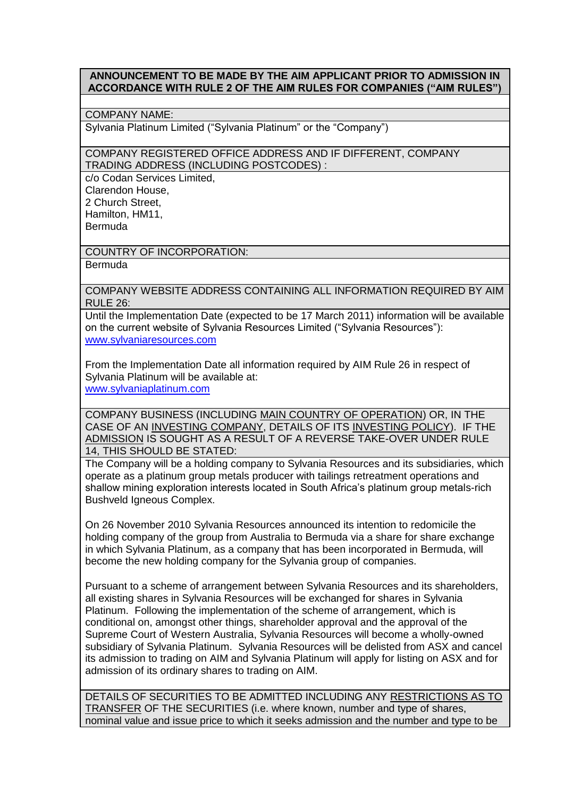## **ANNOUNCEMENT TO BE MADE BY THE AIM APPLICANT PRIOR TO ADMISSION IN ACCORDANCE WITH RULE 2 OF THE AIM RULES FOR COMPANIES ("AIM RULES")**

## COMPANY NAME:

Sylvania Platinum Limited ("Sylvania Platinum" or the "Company")

COMPANY REGISTERED OFFICE ADDRESS AND IF DIFFERENT, COMPANY TRADING ADDRESS (INCLUDING POSTCODES) :

c/o Codan Services Limited, Clarendon House, 2 Church Street, Hamilton, HM11, Bermuda

COUNTRY OF INCORPORATION:

**Bermuda** 

COMPANY WEBSITE ADDRESS CONTAINING ALL INFORMATION REQUIRED BY AIM RULE 26:

Until the Implementation Date (expected to be 17 March 2011) information will be available on the current website of Sylvania Resources Limited ("Sylvania Resources"): [www.sylvaniaresources.com](http://www.sylvaniaresources.com/)

From the Implementation Date all information required by AIM Rule 26 in respect of Sylvania Platinum will be available at: [www.sylvaniaplatinum.com](http://www.sylvaniaplatinum.com/)

COMPANY BUSINESS (INCLUDING MAIN COUNTRY OF OPERATION) OR, IN THE CASE OF AN INVESTING COMPANY, DETAILS OF ITS INVESTING POLICY). IF THE ADMISSION IS SOUGHT AS A RESULT OF A REVERSE TAKE-OVER UNDER RULE 14, THIS SHOULD BE STATED:

The Company will be a holding company to Sylvania Resources and its subsidiaries, which operate as a platinum group metals producer with tailings retreatment operations and shallow mining exploration interests located in South Africa's platinum group metals-rich Bushveld Igneous Complex.

On 26 November 2010 Sylvania Resources announced its intention to redomicile the holding company of the group from Australia to Bermuda via a share for share exchange in which Sylvania Platinum, as a company that has been incorporated in Bermuda, will become the new holding company for the Sylvania group of companies.

Pursuant to a scheme of arrangement between Sylvania Resources and its shareholders, all existing shares in Sylvania Resources will be exchanged for shares in Sylvania Platinum. Following the implementation of the scheme of arrangement, which is conditional on, amongst other things, shareholder approval and the approval of the Supreme Court of Western Australia, Sylvania Resources will become a wholly-owned subsidiary of Sylvania Platinum. Sylvania Resources will be delisted from ASX and cancel its admission to trading on AIM and Sylvania Platinum will apply for listing on ASX and for admission of its ordinary shares to trading on AIM.

DETAILS OF SECURITIES TO BE ADMITTED INCLUDING ANY RESTRICTIONS AS TO TRANSFER OF THE SECURITIES (i.e. where known, number and type of shares, nominal value and issue price to which it seeks admission and the number and type to be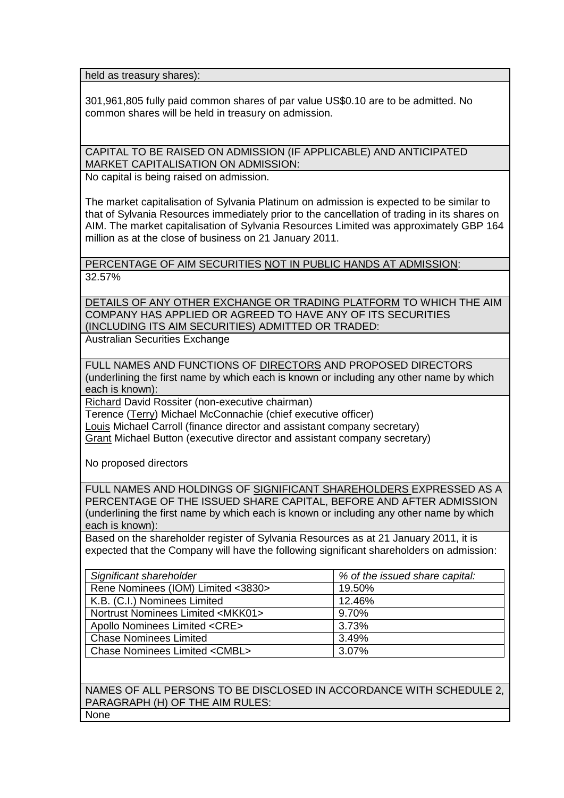held as treasury shares):

301,961,805 fully paid common shares of par value US\$0.10 are to be admitted. No common shares will be held in treasury on admission.

CAPITAL TO BE RAISED ON ADMISSION (IF APPLICABLE) AND ANTICIPATED MARKET CAPITALISATION ON ADMISSION:

No capital is being raised on admission.

The market capitalisation of Sylvania Platinum on admission is expected to be similar to that of Sylvania Resources immediately prior to the cancellation of trading in its shares on AIM. The market capitalisation of Sylvania Resources Limited was approximately GBP 164 million as at the close of business on 21 January 2011.

PERCENTAGE OF AIM SECURITIES NOT IN PUBLIC HANDS AT ADMISSION: 32.57%

DETAILS OF ANY OTHER EXCHANGE OR TRADING PLATFORM TO WHICH THE AIM COMPANY HAS APPLIED OR AGREED TO HAVE ANY OF ITS SECURITIES (INCLUDING ITS AIM SECURITIES) ADMITTED OR TRADED:

Australian Securities Exchange

FULL NAMES AND FUNCTIONS OF DIRECTORS AND PROPOSED DIRECTORS (underlining the first name by which each is known or including any other name by which each is known):

Richard David Rossiter (non-executive chairman)

Terence (Terry) Michael McConnachie (chief executive officer)

Louis Michael Carroll (finance director and assistant company secretary)

Grant Michael Button (executive director and assistant company secretary)

No proposed directors

FULL NAMES AND HOLDINGS OF SIGNIFICANT SHAREHOLDERS EXPRESSED AS A PERCENTAGE OF THE ISSUED SHARE CAPITAL, BEFORE AND AFTER ADMISSION (underlining the first name by which each is known or including any other name by which each is known):

Based on the shareholder register of Sylvania Resources as at 21 January 2011, it is expected that the Company will have the following significant shareholders on admission:

| Significant shareholder                     | % of the issued share capital: |
|---------------------------------------------|--------------------------------|
| Rene Nominees (IOM) Limited <3830>          | 19.50%                         |
| K.B. (C.I.) Nominees Limited                | 12.46%                         |
| Nortrust Nominees Limited <mkk01></mkk01>   | 9.70%                          |
| Apollo Nominees Limited <cre></cre>         | 3.73%                          |
| <b>Chase Nominees Limited</b>               | 3.49%                          |
| <b>Chase Nominees Limited <cmbl></cmbl></b> | 3.07%                          |

NAMES OF ALL PERSONS TO BE DISCLOSED IN ACCORDANCE WITH SCHEDULE 2, PARAGRAPH (H) OF THE AIM RULES: None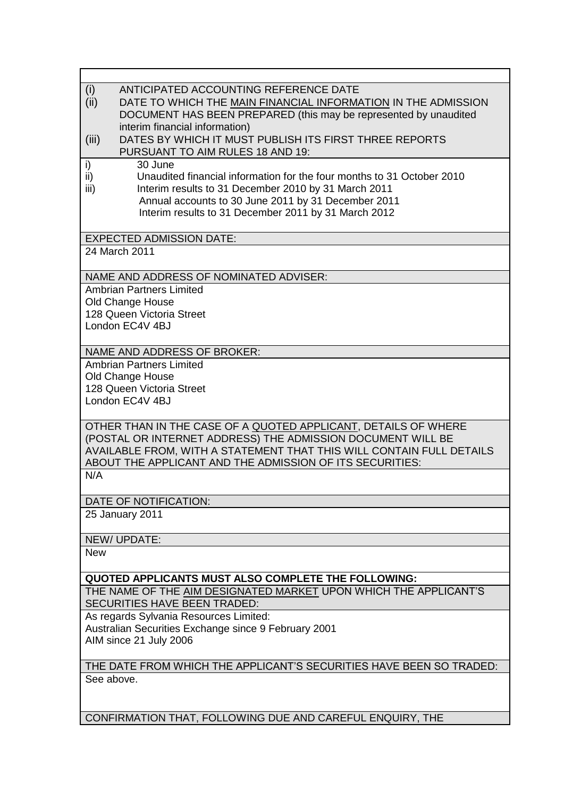| (i)<br>ANTICIPATED ACCOUNTING REFERENCE DATE                                                        |  |
|-----------------------------------------------------------------------------------------------------|--|
| (ii)<br>DATE TO WHICH THE MAIN FINANCIAL INFORMATION IN THE ADMISSION                               |  |
| DOCUMENT HAS BEEN PREPARED (this may be represented by unaudited                                    |  |
| interim financial information)                                                                      |  |
| DATES BY WHICH IT MUST PUBLISH ITS FIRST THREE REPORTS<br>(iii)<br>PURSUANT TO AIM RULES 18 AND 19: |  |
| 30 June<br>i)                                                                                       |  |
| ii)<br>Unaudited financial information for the four months to 31 October 2010                       |  |
| iii)<br>Interim results to 31 December 2010 by 31 March 2011                                        |  |
| Annual accounts to 30 June 2011 by 31 December 2011                                                 |  |
| Interim results to 31 December 2011 by 31 March 2012                                                |  |
|                                                                                                     |  |
| <b>EXPECTED ADMISSION DATE:</b>                                                                     |  |
| 24 March 2011                                                                                       |  |
| NAME AND ADDRESS OF NOMINATED ADVISER:                                                              |  |
| <b>Ambrian Partners Limited</b>                                                                     |  |
| Old Change House                                                                                    |  |
| 128 Queen Victoria Street                                                                           |  |
| London EC4V 4BJ                                                                                     |  |
|                                                                                                     |  |
| <b>NAME AND ADDRESS OF BROKER:</b><br><b>Ambrian Partners Limited</b>                               |  |
| Old Change House                                                                                    |  |
| 128 Queen Victoria Street                                                                           |  |
| London EC4V 4BJ                                                                                     |  |
|                                                                                                     |  |
| OTHER THAN IN THE CASE OF A QUOTED APPLICANT, DETAILS OF WHERE                                      |  |
| (POSTAL OR INTERNET ADDRESS) THE ADMISSION DOCUMENT WILL BE                                         |  |
| AVAILABLE FROM, WITH A STATEMENT THAT THIS WILL CONTAIN FULL DETAILS                                |  |
| ABOUT THE APPLICANT AND THE ADMISSION OF ITS SECURITIES:                                            |  |
| N/A                                                                                                 |  |
| DATE OF NOTIFICATION:                                                                               |  |
| 25 January 2011                                                                                     |  |
|                                                                                                     |  |
| NEW/UPDATE:                                                                                         |  |
| <b>New</b>                                                                                          |  |
| QUOTED APPLICANTS MUST ALSO COMPLETE THE FOLLOWING:                                                 |  |
| THE NAME OF THE AIM DESIGNATED MARKET UPON WHICH THE APPLICANT'S                                    |  |
| SECURITIES HAVE BEEN TRADED:                                                                        |  |
| As regards Sylvania Resources Limited:                                                              |  |
| Australian Securities Exchange since 9 February 2001                                                |  |
| AIM since 21 July 2006                                                                              |  |
|                                                                                                     |  |
| THE DATE FROM WHICH THE APPLICANT'S SECURITIES HAVE BEEN SO TRADED:                                 |  |
| See above.                                                                                          |  |
|                                                                                                     |  |

CONFIRMATION THAT, FOLLOWING DUE AND CAREFUL ENQUIRY, THE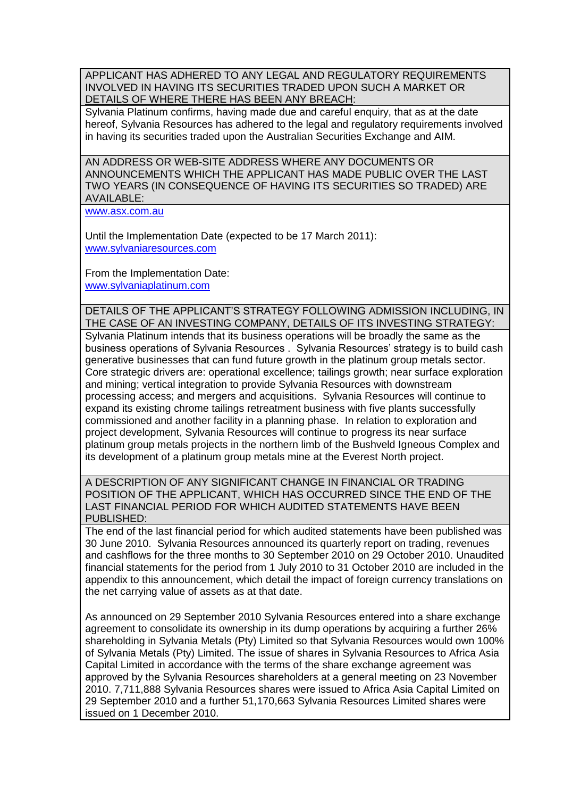APPLICANT HAS ADHERED TO ANY LEGAL AND REGULATORY REQUIREMENTS INVOLVED IN HAVING ITS SECURITIES TRADED UPON SUCH A MARKET OR DETAILS OF WHERE THERE HAS BEEN ANY BREACH:

Sylvania Platinum confirms, having made due and careful enquiry, that as at the date hereof, Sylvania Resources has adhered to the legal and regulatory requirements involved in having its securities traded upon the Australian Securities Exchange and AIM.

AN ADDRESS OR WEB-SITE ADDRESS WHERE ANY DOCUMENTS OR ANNOUNCEMENTS WHICH THE APPLICANT HAS MADE PUBLIC OVER THE LAST TWO YEARS (IN CONSEQUENCE OF HAVING ITS SECURITIES SO TRADED) ARE AVAILABLE:

[www.asx.com.au](http://www.asx.com.au/)

Until the Implementation Date (expected to be 17 March 2011): [www.sylvaniaresources.com](http://www.sylvaniaresources.com/)

From the Implementation Date: [www.sylvaniaplatinum.com](http://www.sylvaniaplatinum.com/)

DETAILS OF THE APPLICANT'S STRATEGY FOLLOWING ADMISSION INCLUDING, IN THE CASE OF AN INVESTING COMPANY, DETAILS OF ITS INVESTING STRATEGY: Sylvania Platinum intends that its business operations will be broadly the same as the business operations of Sylvania Resources . Sylvania Resources' strategy is to build cash generative businesses that can fund future growth in the platinum group metals sector. Core strategic drivers are: operational excellence; tailings growth; near surface exploration and mining; vertical integration to provide Sylvania Resources with downstream processing access; and mergers and acquisitions. Sylvania Resources will continue to expand its existing chrome tailings retreatment business with five plants successfully commissioned and another facility in a planning phase. In relation to exploration and project development, Sylvania Resources will continue to progress its near surface platinum group metals projects in the northern limb of the Bushveld Igneous Complex and its development of a platinum group metals mine at the Everest North project.

A DESCRIPTION OF ANY SIGNIFICANT CHANGE IN FINANCIAL OR TRADING POSITION OF THE APPLICANT, WHICH HAS OCCURRED SINCE THE END OF THE LAST FINANCIAL PERIOD FOR WHICH AUDITED STATEMENTS HAVE BEEN PUBLISHED:

The end of the last financial period for which audited statements have been published was 30 June 2010. Sylvania Resources announced its quarterly report on trading, revenues and cashflows for the three months to 30 September 2010 on 29 October 2010. Unaudited financial statements for the period from 1 July 2010 to 31 October 2010 are included in the appendix to this announcement, which detail the impact of foreign currency translations on the net carrying value of assets as at that date.

As announced on 29 September 2010 Sylvania Resources entered into a share exchange agreement to consolidate its ownership in its dump operations by acquiring a further 26% shareholding in Sylvania Metals (Pty) Limited so that Sylvania Resources would own 100% of Sylvania Metals (Pty) Limited. The issue of shares in Sylvania Resources to Africa Asia Capital Limited in accordance with the terms of the share exchange agreement was approved by the Sylvania Resources shareholders at a general meeting on 23 November 2010. 7,711,888 Sylvania Resources shares were issued to Africa Asia Capital Limited on 29 September 2010 and a further 51,170,663 Sylvania Resources Limited shares were issued on 1 December 2010.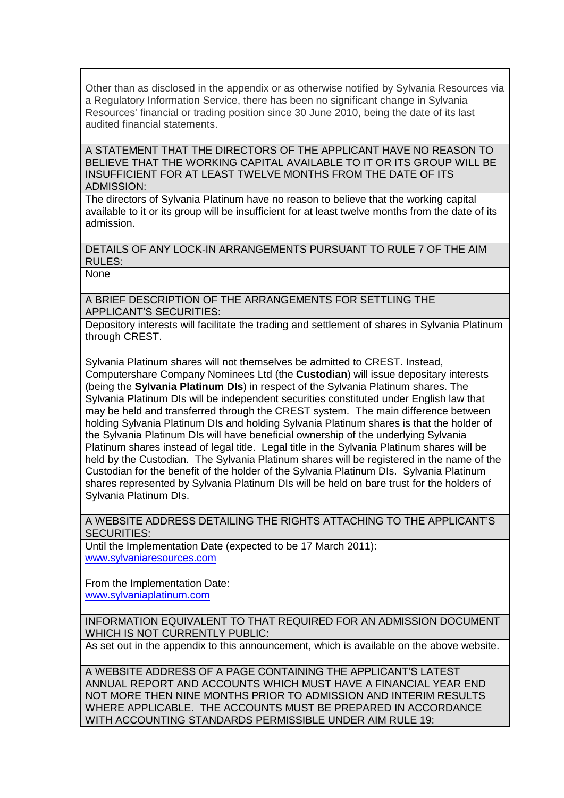Other than as disclosed in the appendix or as otherwise notified by Sylvania Resources via a Regulatory Information Service, there has been no significant change in Sylvania Resources' financial or trading position since 30 June 2010, being the date of its last audited financial statements.

A STATEMENT THAT THE DIRECTORS OF THE APPLICANT HAVE NO REASON TO BELIEVE THAT THE WORKING CAPITAL AVAILABLE TO IT OR ITS GROUP WILL BE INSUFFICIENT FOR AT LEAST TWELVE MONTHS FROM THE DATE OF ITS ADMISSION:

The directors of Sylvania Platinum have no reason to believe that the working capital available to it or its group will be insufficient for at least twelve months from the date of its admission.

DETAILS OF ANY LOCK-IN ARRANGEMENTS PURSUANT TO RULE 7 OF THE AIM RULES:

None

A BRIEF DESCRIPTION OF THE ARRANGEMENTS FOR SETTLING THE APPLICANT'S SECURITIES:

Depository interests will facilitate the trading and settlement of shares in Sylvania Platinum through CREST.

Sylvania Platinum shares will not themselves be admitted to CREST. Instead, Computershare Company Nominees Ltd (the **Custodian**) will issue depositary interests (being the **Sylvania Platinum DIs**) in respect of the Sylvania Platinum shares. The Sylvania Platinum DIs will be independent securities constituted under English law that may be held and transferred through the CREST system. The main difference between holding Sylvania Platinum DIs and holding Sylvania Platinum shares is that the holder of the Sylvania Platinum DIs will have beneficial ownership of the underlying Sylvania Platinum shares instead of legal title. Legal title in the Sylvania Platinum shares will be held by the Custodian. The Sylvania Platinum shares will be registered in the name of the Custodian for the benefit of the holder of the Sylvania Platinum DIs. Sylvania Platinum shares represented by Sylvania Platinum DIs will be held on bare trust for the holders of Sylvania Platinum DIs.

A WEBSITE ADDRESS DETAILING THE RIGHTS ATTACHING TO THE APPLICANT'S SECURITIES:

Until the Implementation Date (expected to be 17 March 2011): [www.sylvaniaresources.com](http://www.sylvaniaresources.com/)

From the Implementation Date: [www.sylvaniaplatinum.com](http://www.sylvaniaplatinum.com/)

INFORMATION EQUIVALENT TO THAT REQUIRED FOR AN ADMISSION DOCUMENT WHICH IS NOT CURRENTLY PUBLIC:

As set out in the appendix to this announcement, which is available on the above website.

A WEBSITE ADDRESS OF A PAGE CONTAINING THE APPLICANT'S LATEST ANNUAL REPORT AND ACCOUNTS WHICH MUST HAVE A FINANCIAL YEAR END NOT MORE THEN NINE MONTHS PRIOR TO ADMISSION AND INTERIM RESULTS WHERE APPLICABLE. THE ACCOUNTS MUST BE PREPARED IN ACCORDANCE WITH ACCOUNTING STANDARDS PERMISSIBLE UNDER AIM RULE 19: